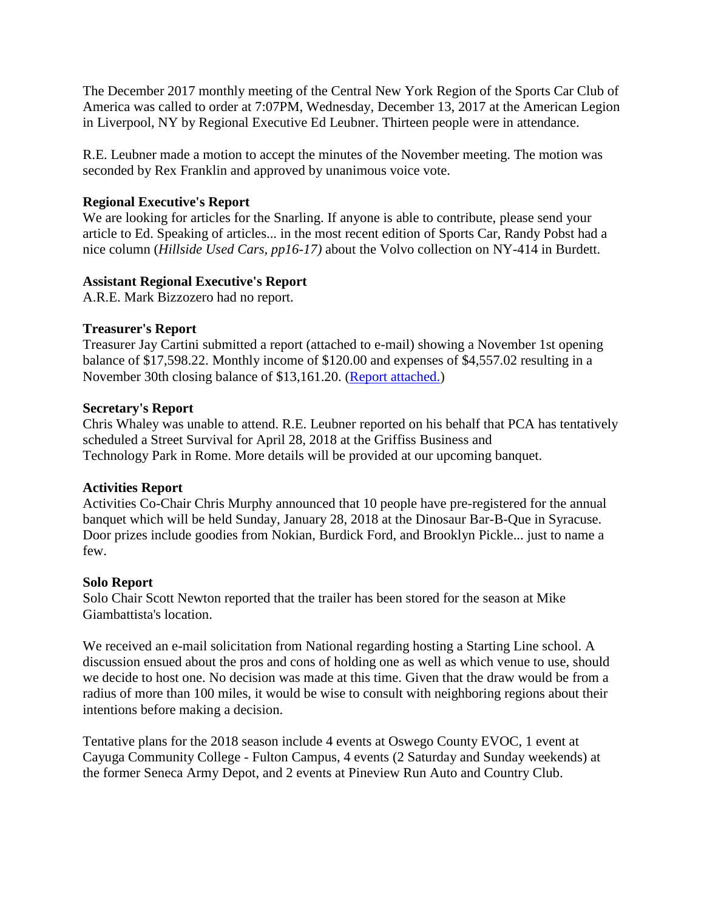The December 2017 monthly meeting of the Central New York Region of the Sports Car Club of America was called to order at 7:07PM, Wednesday, December 13, 2017 at the American Legion in Liverpool, NY by Regional Executive Ed Leubner. Thirteen people were in attendance.

R.E. Leubner made a motion to accept the minutes of the November meeting. The motion was seconded by Rex Franklin and approved by unanimous voice vote.

# **Regional Executive's Report**

We are looking for articles for the Snarling. If anyone is able to contribute, please send your article to Ed. Speaking of articles... in the most recent edition of Sports Car, Randy Pobst had a nice column (*Hillside Used Cars, pp16-17)* about the Volvo collection on NY-414 in Burdett.

# **Assistant Regional Executive's Report**

A.R.E. Mark Bizzozero had no report.

# **Treasurer's Report**

Treasurer Jay Cartini submitted a report (attached to e-mail) showing a November 1st opening balance of \$17,598.22. Monthly income of \$120.00 and expenses of \$4,557.02 resulting in a November 30th closing balance of \$13,161.20. [\(Report attached.\)](https://www.cny-scca.com/meeting_minutes/2017_12_treasury.jpg)

## **Secretary's Report**

Chris Whaley was unable to attend. R.E. Leubner reported on his behalf that PCA has tentatively scheduled a Street Survival for April 28, 2018 at the Griffiss Business and Technology Park in Rome. More details will be provided at our upcoming banquet.

# **Activities Report**

Activities Co-Chair Chris Murphy announced that 10 people have pre-registered for the annual banquet which will be held Sunday, January 28, 2018 at the Dinosaur Bar-B-Que in Syracuse. Door prizes include goodies from Nokian, Burdick Ford, and Brooklyn Pickle... just to name a few.

## **Solo Report**

Solo Chair Scott Newton reported that the trailer has been stored for the season at Mike Giambattista's location.

We received an e-mail solicitation from National regarding hosting a Starting Line school. A discussion ensued about the pros and cons of holding one as well as which venue to use, should we decide to host one. No decision was made at this time. Given that the draw would be from a radius of more than 100 miles, it would be wise to consult with neighboring regions about their intentions before making a decision.

Tentative plans for the 2018 season include 4 events at Oswego County EVOC, 1 event at Cayuga Community College - Fulton Campus, 4 events (2 Saturday and Sunday weekends) at the former Seneca Army Depot, and 2 events at Pineview Run Auto and Country Club.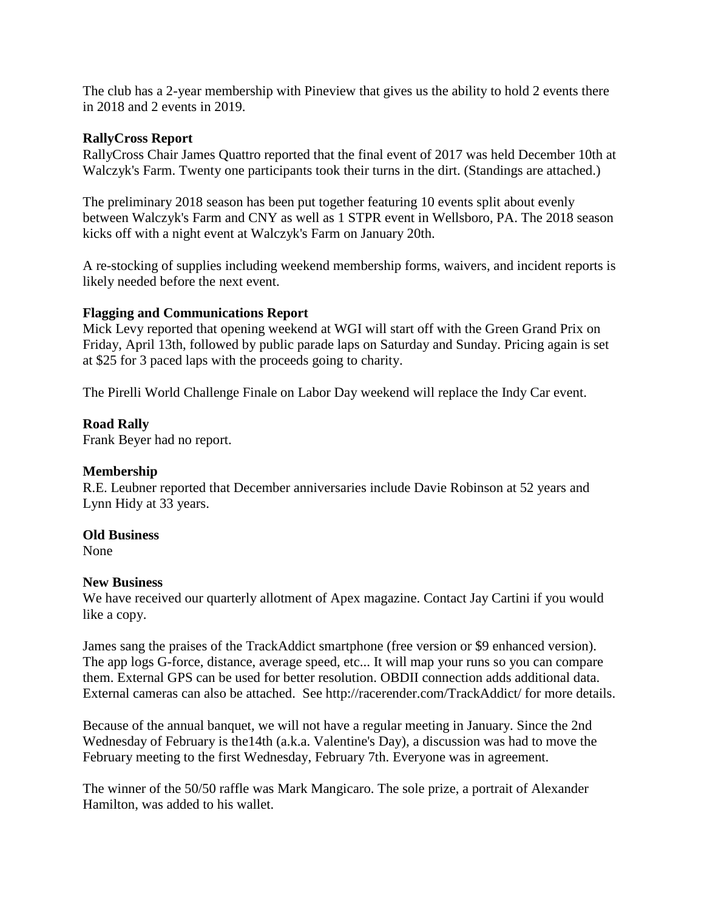The club has a 2-year membership with Pineview that gives us the ability to hold 2 events there in 2018 and 2 events in 2019.

## **RallyCross Report**

RallyCross Chair James Quattro reported that the final event of 2017 was held December 10th at Walczyk's Farm. Twenty one participants took their turns in the dirt. (Standings are attached.)

The preliminary 2018 season has been put together featuring 10 events split about evenly between Walczyk's Farm and CNY as well as 1 STPR event in Wellsboro, PA. The 2018 season kicks off with a night event at Walczyk's Farm on January 20th.

A re-stocking of supplies including weekend membership forms, waivers, and incident reports is likely needed before the next event.

# **Flagging and Communications Report**

Mick Levy reported that opening weekend at WGI will start off with the Green Grand Prix on Friday, April 13th, followed by public parade laps on Saturday and Sunday. Pricing again is set at \$25 for 3 paced laps with the proceeds going to charity.

The Pirelli World Challenge Finale on Labor Day weekend will replace the Indy Car event.

# **Road Rally**

Frank Beyer had no report.

## **Membership**

R.E. Leubner reported that December anniversaries include Davie Robinson at 52 years and Lynn Hidy at 33 years.

## **Old Business**

None

## **New Business**

We have received our quarterly allotment of Apex magazine. Contact Jay Cartini if you would like a copy.

James sang the praises of the TrackAddict smartphone (free version or \$9 enhanced version). The app logs G-force, distance, average speed, etc... It will map your runs so you can compare them. External GPS can be used for better resolution. OBDII connection adds additional data. External cameras can also be attached. See http://racerender.com/TrackAddict/ for more details.

Because of the annual banquet, we will not have a regular meeting in January. Since the 2nd Wednesday of February is the14th (a.k.a. Valentine's Day), a discussion was had to move the February meeting to the first Wednesday, February 7th. Everyone was in agreement.

The winner of the 50/50 raffle was Mark Mangicaro. The sole prize, a portrait of Alexander Hamilton, was added to his wallet.